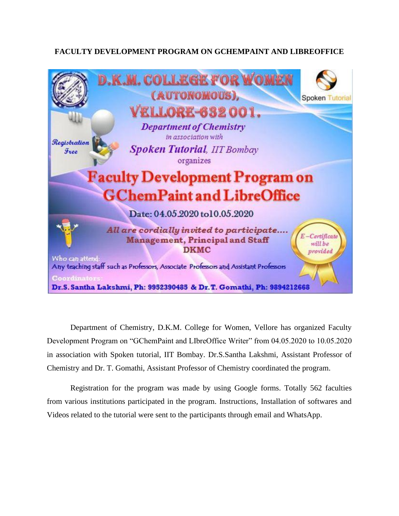## **FACULTY DEVELOPMENT PROGRAM ON GCHEMPAINT AND LIBREOFFICE**



Department of Chemistry, D.K.M. College for Women, Vellore has organized Faculty Development Program on "GChemPaint and LIbreOffice Writer" from 04.05.2020 to 10.05.2020 in association with Spoken tutorial, IIT Bombay. Dr.S.Santha Lakshmi, Assistant Professor of Chemistry and Dr. T. Gomathi, Assistant Professor of Chemistry coordinated the program.

Registration for the program was made by using Google forms. Totally 562 faculties from various institutions participated in the program. Instructions, Installation of softwares and Videos related to the tutorial were sent to the participants through email and WhatsApp.